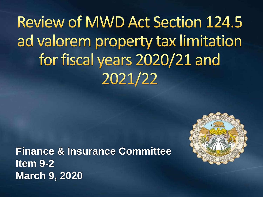**Review of MWD Act Section 124.5** ad valorem property tax limitation for fiscal years 2020/21 and 2021/22

**Finance & Insurance Committee Item 9-2 March 9, 2020**

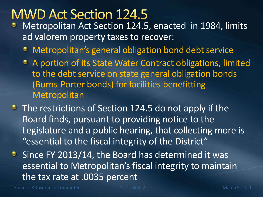### **MWD Act Section 124.5**

- Metropolitan Act Section 124.5, enacted in 1984, limits ad valorem property taxes to recover:
	- Metropolitan's general obligation bond debt service
	- A portion of its State Water Contract obligations, limited to the debt service on state general obligation bonds (Burns-Porter bonds) for facilities benefitting **Metropolitan**
- The restrictions of Section 124.5 do not apply if the Board finds, pursuant to providing notice to the Legislature and a public hearing, that collecting more is "essential to the fiscal integrity of the District"
- **Since FY 2013/14, the Board has determined it was** essential to Metropolitan's fiscal integrity to maintain the tax rate at .0035 percent

Finance & Insurance Committee **8** and 1900 Slide 2 March 9, 2020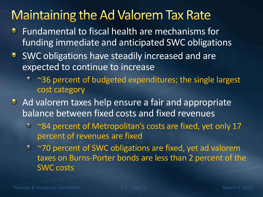### **Maintaining the Ad Valorem Tax Rate**

- Fundamental to fiscal health are mechanisms for ۰ funding immediate and anticipated SWC obligations
- **SWC obligations have steadily increased and are** expected to continue to increase
	- ~36 percent of budgeted expenditures; the single largest cost category
- Ad valorem taxes help ensure a fair and appropriate balance between fixed costs and fixed revenues
	- \* ~84 percent of Metropolitan's costs are fixed, yet only 17 percent of revenues are fixed
	- ~70 percent of SWC obligations are fixed, yet ad valorem taxes on Burns-Porter bonds are less than 2 percent of the SWC costs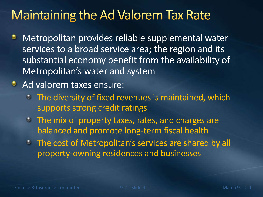### **Maintaining the Ad Valorem Tax Rate**

- Metropolitan provides reliable supplemental water ٠ services to a broad service area; the region and its substantial economy benefit from the availability of Metropolitan's water and system
- **Ad valorem taxes ensure:** 
	- **The diversity of fixed revenues is maintained, which** supports strong credit ratings
	- The mix of property taxes, rates, and charges are balanced and promote long-term fiscal health
	- **The cost of Metropolitan's services are shared by all** property-owning residences and businesses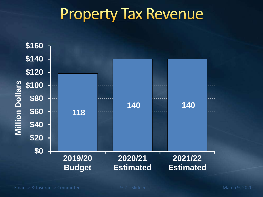# **Property Tax Revenue**

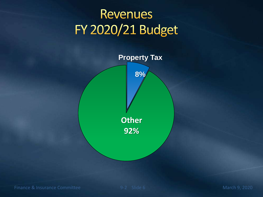## **Revenues FY 2020/21 Budget**

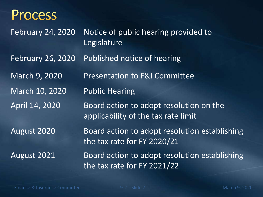#### **Process**

February 24, 2020 Notice of public hearing provided to Legislature February 26, 2020 Published notice of hearing March 9, 2020 Presentation to F&I Committee March 10, 2020 Public Hearing April 14, 2020 Board action to adopt resolution on the applicability of the tax rate limit August 2020 Board action to adopt resolution establishing the tax rate for FY 2020/21 August 2021 Board action to adopt resolution establishing the tax rate for FY 2021/22